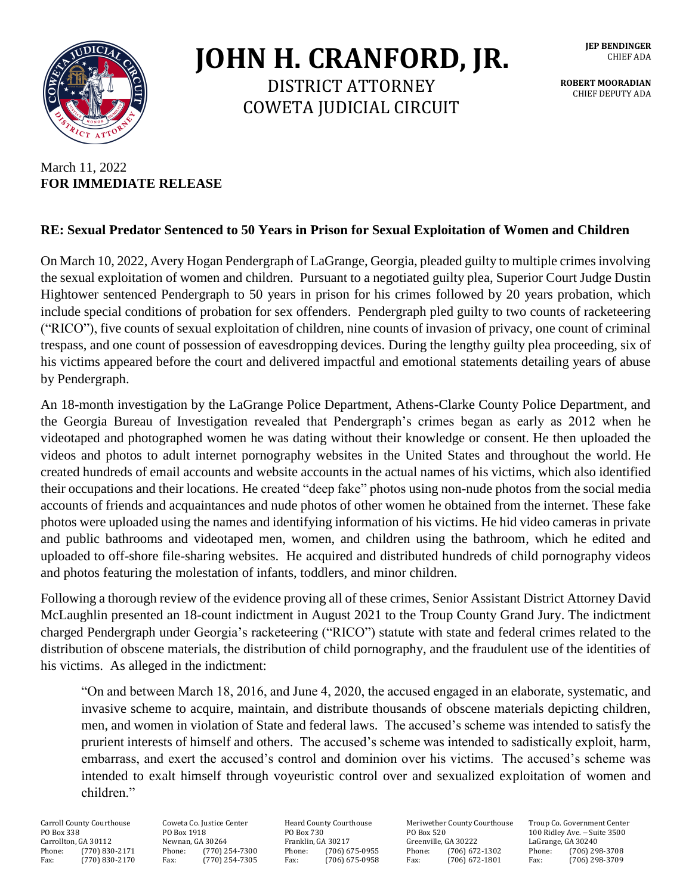

## **JOHN H. CRANFORD, JR.**

DISTRICT ATTORNEY COWETA JUDICIAL CIRCUIT **JEP BENDINGER** CHIEF ADA

**ROBERT MOORADIAN** CHIEF DEPUTY ADA

## March 11, 2022 **FOR IMMEDIATE RELEASE**

## **RE: Sexual Predator Sentenced to 50 Years in Prison for Sexual Exploitation of Women and Children**

On March 10, 2022, Avery Hogan Pendergraph of LaGrange, Georgia, pleaded guilty to multiple crimes involving the sexual exploitation of women and children. Pursuant to a negotiated guilty plea, Superior Court Judge Dustin Hightower sentenced Pendergraph to 50 years in prison for his crimes followed by 20 years probation, which include special conditions of probation for sex offenders. Pendergraph pled guilty to two counts of racketeering ("RICO"), five counts of sexual exploitation of children, nine counts of invasion of privacy, one count of criminal trespass, and one count of possession of eavesdropping devices. During the lengthy guilty plea proceeding, six of his victims appeared before the court and delivered impactful and emotional statements detailing years of abuse by Pendergraph.

An 18-month investigation by the LaGrange Police Department, Athens-Clarke County Police Department, and the Georgia Bureau of Investigation revealed that Pendergraph's crimes began as early as 2012 when he videotaped and photographed women he was dating without their knowledge or consent. He then uploaded the videos and photos to adult internet pornography websites in the United States and throughout the world. He created hundreds of email accounts and website accounts in the actual names of his victims, which also identified their occupations and their locations. He created "deep fake" photos using non-nude photos from the social media accounts of friends and acquaintances and nude photos of other women he obtained from the internet. These fake photos were uploaded using the names and identifying information of his victims. He hid video cameras in private and public bathrooms and videotaped men, women, and children using the bathroom, which he edited and uploaded to off-shore file-sharing websites. He acquired and distributed hundreds of child pornography videos and photos featuring the molestation of infants, toddlers, and minor children.

Following a thorough review of the evidence proving all of these crimes, Senior Assistant District Attorney David McLaughlin presented an 18-count indictment in August 2021 to the Troup County Grand Jury. The indictment charged Pendergraph under Georgia's racketeering ("RICO") statute with state and federal crimes related to the distribution of obscene materials, the distribution of child pornography, and the fraudulent use of the identities of his victims. As alleged in the indictment:

"On and between March 18, 2016, and June 4, 2020, the accused engaged in an elaborate, systematic, and invasive scheme to acquire, maintain, and distribute thousands of obscene materials depicting children, men, and women in violation of State and federal laws. The accused's scheme was intended to satisfy the prurient interests of himself and others. The accused's scheme was intended to sadistically exploit, harm, embarrass, and exert the accused's control and dominion over his victims. The accused's scheme was intended to exalt himself through voyeuristic control over and sexualized exploitation of women and children."

Carroll County Courthouse Coweta Co. Justice Center Heard County Courthouse Meriwether County Courthouse Troup Co. Government Center 1990 Box 1918 PO Box 730 PO Box 520 100 Ridley Ave. - Suite 3500 PO Box 338 PO Box 1918 PO Box 1918 PO Box 730 PO Box 520 100 Ridley Ave. – Suite 3500<br>Carrollton, GA 30112 Newnan, GA 30264 Franklin, GA 30217 Greenville, GA 30222 LaGrange, GA 30240 Carrollton, GA 30112 Newnan, GA 30264 Franklin, GA 30217 Greenville, GA 30222 LaGrange, GA 30240 Phone: (770) 830-2171 Phone: (770) 254-7300 Phone: (706) 675-0955 Phone: (706) 672-1302 Phone: (706) 298-3708 Fax: (770) 830-2170 Fax: (770) 254-7305 Fax: (706) 675-0958 Fax: (706) 672-1801 Fax: (706) 298-3709